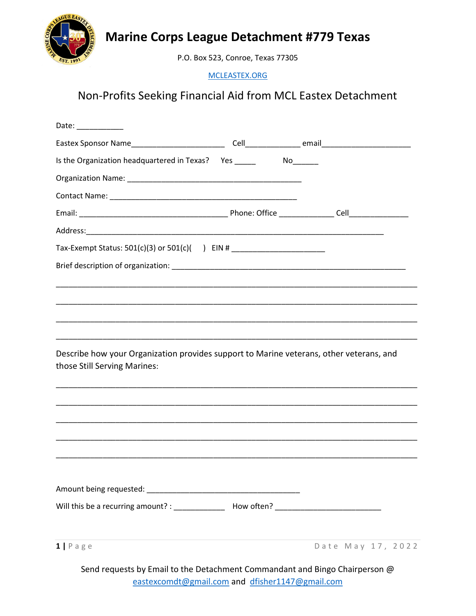

## Marine Corps League Detachment #779 Texas

P.O. Box 523, Conroe, Texas 77305

MCLEASTEX.ORG

## Non-Profits Seeking Financial Aid from MCL Eastex Detachment

| Is the Organization headquartered in Texas? Yes ________________________________        |
|-----------------------------------------------------------------------------------------|
|                                                                                         |
|                                                                                         |
|                                                                                         |
|                                                                                         |
| Tax-Exempt Status: 501(c)(3) or 501(c)( ) EIN # ________________________________        |
|                                                                                         |
|                                                                                         |
|                                                                                         |
|                                                                                         |
| ,我们也不能会在这里,我们的人们就会在这里,我们的人们就会在这里,我们也不会在这里,我们也不会在这里,我们也不会在这里,我们也不会在这里,我们也不会在这里,我们        |
| Describe how your Organization provides support to Marine veterans, other veterans, and |
|                                                                                         |
|                                                                                         |
|                                                                                         |
|                                                                                         |
|                                                                                         |
|                                                                                         |
|                                                                                         |
|                                                                                         |
| Date May 17, 2022                                                                       |
|                                                                                         |
|                                                                                         |

Send requests by Email to the Detachment Commandant and Bingo Chairperson @ eastexcomdt@gmail.com and dfisher1147@gmail.com